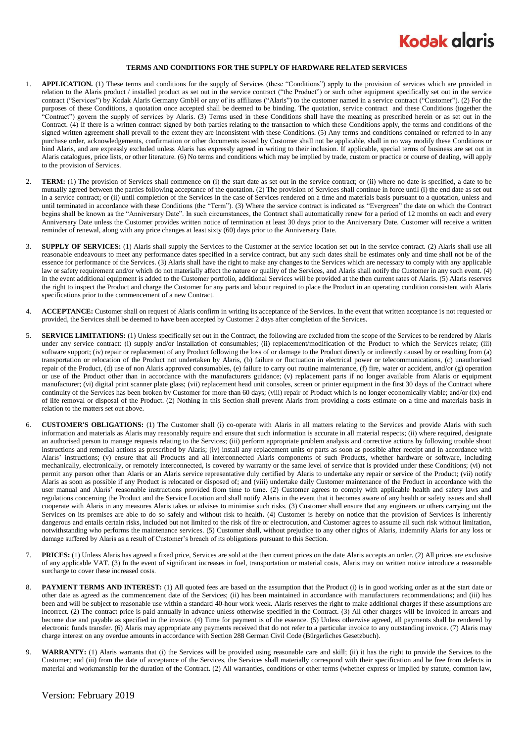## **Kodak glaris**

## **TERMS AND CONDITIONS FOR THE SUPPLY OF HARDWARE RELATED SERVICES**

- 1. **APPLICATION.** (1) These terms and conditions for the supply of Services (these "Conditions") apply to the provision of services which are provided in relation to the Alaris product / installed product as set out in the service contract ("the Product") or such other equipment specifically set out in the service contract ("Services") by Kodak Alaris Germany GmbH or any of its affiliates ("Alaris") to the customer named in a service contract ("Customer"). (2) For the purposes of these Conditions, a quotation once accepted shall be deemed to be binding. The quotation, service contract and these Conditions (together the "Contract") govern the supply of services by Alaris. (3) Terms used in these Conditions shall have the meaning as prescribed herein or as set out in the Contract. (4) If there is a written contract signed by both parties relating to the transaction to which these Conditions apply, the terms and conditions of the signed written agreement shall prevail to the extent they are inconsistent with these Conditions. (5) Any terms and conditions contained or referred to in any purchase order, acknowledgements, confirmation or other documents issued by Customer shall not be applicable, shall in no way modify these Conditions or bind Alaris, and are expressly excluded unless Alaris has expressly agreed in writing to their inclusion. If applicable, special terms of business are set out in Alaris catalogues, price lists, or other literature. (6) No terms and conditions which may be implied by trade, custom or practice or course of dealing, will apply to the provision of Services.
- 2. **TERM:** (1) The provision of Services shall commence on (i) the start date as set out in the service contract; or (ii) where no date is specified, a date to be mutually agreed between the parties following acceptance of the quotation. (2) The provision of Services shall continue in force until (i) the end date as set out in a service contract; or (ii) until completion of the Services in the case of Services rendered on a time and materials basis pursuant to a quotation, unless and until terminated in accordance with these Conditions (the "Term"). (3) Where the service contract is indicated as "Evergreen" the date on which the Contract begins shall be known as the "Anniversary Date". In such circumstances, the Contract shall automatically renew for a period of 12 months on each and every Anniversary Date unless the Customer provides written notice of termination at least 30 days prior to the Anniversary Date. Customer will receive a written reminder of renewal, along with any price changes at least sixty (60) days prior to the Anniversary Date.
- 3. **SUPPLY OF SERVICES:** (1) Alaris shall supply the Services to the Customer at the service location set out in the service contract. (2) Alaris shall use all reasonable endeavours to meet any performance dates specified in a service contract, but any such dates shall be estimates only and time shall not be of the essence for performance of the Services. (3) Alaris shall have the right to make any changes to the Services which are necessary to comply with any applicable law or safety requirement and/or which do not materially affect the nature or quality of the Services, and Alaris shall notify the Customer in any such event. (4) In the event additional equipment is added to the Customer portfolio, additional Services will be provided at the then current rates of Alaris. (5) Alaris reserves the right to inspect the Product and charge the Customer for any parts and labour required to place the Product in an operating condition consistent with Alaris specifications prior to the commencement of a new Contract.
- 4. **ACCEPTANCE:** Customer shall on request of Alaris confirm in writing its acceptance of the Services. In the event that written acceptance is not requested or provided, the Services shall be deemed to have been accepted by Customer 2 days after completion of the Services.
- 5. **SERVICE LIMITATIONS:** (1) Unless specifically set out in the Contract, the following are excluded from the scope of the Services to be rendered by Alaris under any service contract: (i) supply and/or installation of consumables; (ii) replacement/modification of the Product to which the Services relate; (iii) software support; (iv) repair or replacement of any Product following the loss of or damage to the Product directly or indirectly caused by or resulting from (a) transportation or relocation of the Product not undertaken by Alaris, (b) failure or fluctuation in electrical power or telecommunications, (c) unauthorised repair of the Product, (d) use of non Alaris approved consumables, (e) failure to carry out routine maintenance, (f) fire, water or accident, and/or (g) operation or use of the Product other than in accordance with the manufacturers guidance; (v) replacement parts if no longer available from Alaris or equipment manufacturer; (vi) digital print scanner plate glass; (vii) replacement head unit consoles, screen or printer equipment in the first 30 days of the Contract where continuity of the Services has been broken by Customer for more than 60 days; (viii) repair of Product which is no longer economically viable; and/or (ix) end of life removal or disposal of the Product. (2) Nothing in this Section shall prevent Alaris from providing a costs estimate on a time and materials basis in relation to the matters set out above.
- <span id="page-0-0"></span>6. **CUSTOMER'S OBLIGATIONS:** (1) The Customer shall (i) co-operate with Alaris in all matters relating to the Services and provide Alaris with such information and materials as Alaris may reasonably require and ensure that such information is accurate in all material respects; (ii) where required, designate an authorised person to manage requests relating to the Services; (iii) perform appropriate problem analysis and corrective actions by following trouble shoot instructions and remedial actions as prescribed by Alaris; (iv) install any replacement units or parts as soon as possible after receipt and in accordance with Alaris' instructions; (v) ensure that all Products and all interconnected Alaris components of such Products, whether hardware or software, including mechanically, electronically, or remotely interconnected, is covered by warranty or the same level of service that is provided under these Conditions; (vi) not permit any person other than Alaris or an Alaris service representative duly certified by Alaris to undertake any repair or service of the Product; (vii) notify Alaris as soon as possible if any Product is relocated or disposed of; and (viii) undertake daily Customer maintenance of the Product in accordance with the user manual and Alaris' reasonable instructions provided from time to time. (2) Customer agrees to comply with applicable health and safety laws and regulations concerning the Product and the Service Location and shall notify Alaris in the event that it becomes aware of any health or safety issues and shall cooperate with Alaris in any measures Alaris takes or advises to minimise such risks. (3) Customer shall ensure that any engineers or others carrying out the Services on its premises are able to do so safely and without risk to health**.** (4) Customer is hereby on notice that the provision of Services is inherently dangerous and entails certain risks, included but not limited to the risk of fire or electrocution, and Customer agrees to assume all such risk without limitation, notwithstanding who performs the maintenance services. (5) Customer shall, without prejudice to any other rights of Alaris, indemnify Alaris for any loss or damage suffered by Alaris as a result of Customer's breach of its obligations pursuant to this Section.
- 7. **PRICES:** (1) Unless Alaris has agreed a fixed price, Services are sold at the then current prices on the date Alaris accepts an order. (2) All prices are exclusive of any applicable VAT. (3) In the event of significant increases in fuel, transportation or material costs, Alaris may on written notice introduce a reasonable surcharge to cover these increased costs.
- 8. **PAYMENT TERMS AND INTEREST:** (1) All quoted fees are based on the assumption that the Product (i) is in good working order as at the start date or other date as agreed as the commencement date of the Services; (ii) has been maintained in accordance with manufacturers recommendations; and (iii) has been and will be subject to reasonable use within a standard 40-hour work week. Alaris reserves the right to make additional charges if these assumptions are incorrect. (2) The contract price is paid annually in advance unless otherwise specified in the Contract. (3) All other charges will be invoiced in arrears and become due and payable as specified in the invoice. (4) Time for payment is of the essence. (5) Unless otherwise agreed, all payments shall be rendered by electronic funds transfer. (6) Alaris may appropriate any payments received that do not refer to a particular invoice to any outstanding invoice. (7) Alaris may charge interest on any overdue amounts in accordance with Section 288 German Civil Code (Bürgerliches Gesetzbuch).
- 9. **WARRANTY:** (1) Alaris warrants that (i) the Services will be provided using reasonable care and skill; (ii) it has the right to provide the Services to the Customer; and (iii) from the date of acceptance of the Services, the Services shall materially correspond with their specification and be free from defects in material and workmanship for the duration of the Contract. (2) All warranties, conditions or other terms (whether express or implied by statute, common law,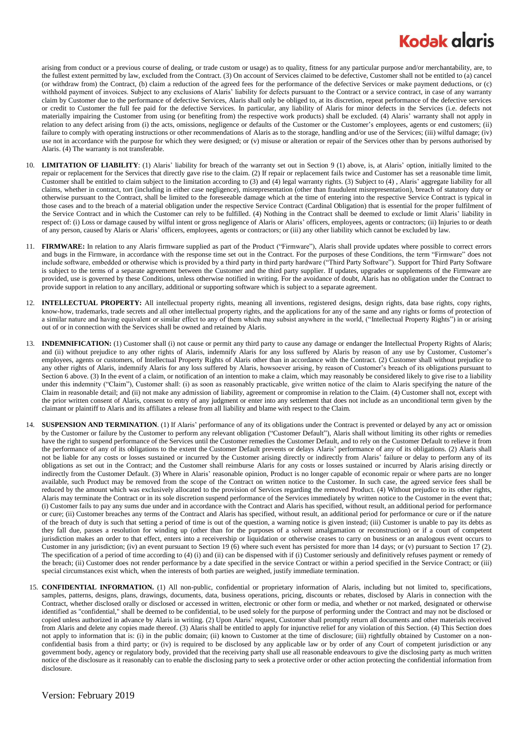## **Kodak glaris**

arising from conduct or a previous course of dealing, or trade custom or usage) as to quality, fitness for any particular purpose and/or merchantability, are, to the fullest extent permitted by law, excluded from the Contract. (3) On account of Services claimed to be defective, Customer shall not be entitled to (a) cancel (or withdraw from) the Contract, (b) claim a reduction of the agreed fees for the performance of the defective Services or make payment deductions, or (c) withhold payment of invoices. Subject to any exclusions of Alaris' liability for defects pursuant to the Contract or a service contract, in case of any warranty claim by Customer due to the performance of defective Services, Alaris shall only be obliged to, at its discretion, repeat performance of the defective services or credit to Customer the full fee paid for the defective Services. In particular, any liability of Alaris for minor defects in the Services (i.e. defects not materially impairing the Customer from using (or benefiting from) the respective work products) shall be excluded. (4) Alaris' warranty shall not apply in relation to any defect arising from (i) the acts, omissions, negligence or defaults of the Customer or the Customer's employees, agents or end customers; (ii) failure to comply with operating instructions or other recommendations of Alaris as to the storage, handling and/or use of the Services; (iii) wilful damage; (iv) use not in accordance with the purpose for which they were designed; or (v) misuse or alteration or repair of the Services other than by persons authorised by Alaris. (4) The warranty is not transferable.

- 10. **LIMITATION OF LIABILITY**: (1) Alaris' liability for breach of the warranty set out in Section 9 (1) above, is, at Alaris' option, initially limited to the repair or replacement for the Services that directly gave rise to the claim. (2) If repair or replacement fails twice and Customer has set a reasonable time limit, Customer shall be entitled to claim subject to the limitation according to (3) and (4) legal warranty rights. (3) Subject to (4) , Alaris' aggregate liability for all claims, whether in contract, tort (including in either case negligence), misrepresentation (other than fraudulent misrepresentation), breach of statutory duty or otherwise pursuant to the Contract, shall be limited to the foreseeable damage which at the time of entering into the respective Service Contract is typical in those cases and to the breach of a material obligation under the respective Service Contract (Cardinal Obligation) that is essential for the proper fulfilment of the Service Contract and in which the Customer can rely to be fulfilled. (4) Nothing in the Contract shall be deemed to exclude or limit Alaris' liability in respect of: (i) Loss or damage caused by wilful intent or gross negligence of Alaris or Alaris' officers, employees, agents or contractors; (ii) Injuries to or death of any person, caused by Alaris or Alaris' officers, employees, agents or contractors; or (iii) any other liability which cannot be excluded by law.
- 11. **FIRMWARE:** In relation to any Alaris firmware supplied as part of the Product ("Firmware"), Alaris shall provide updates where possible to correct errors and bugs in the Firmware, in accordance with the response time set out in the Contract. For the purposes of these Conditions, the term "Firmware" does not include software, embedded or otherwise which is provided by a third party in third party hardware ("Third Party Software"). Support for Third Party Software is subject to the terms of a separate agreement between the Customer and the third party supplier. If updates, upgrades or supplements of the Firmware are provided, use is governed by these Conditions, unless otherwise notified in writing. For the avoidance of doubt, Alaris has no obligation under the Contract to provide support in relation to any ancillary, additional or supporting software which is subject to a separate agreement.
- 12. **INTELLECTUAL PROPERTY:** All intellectual property rights, meaning all inventions, registered designs, design rights, data base rights, copy rights, know-how, trademarks, trade secrets and all other intellectual property rights, and the applications for any of the same and any rights or forms of protection of a similar nature and having equivalent or similar effect to any of them which may subsist anywhere in the world, ("Intellectual Property Rights") in or arising out of or in connection with the Services shall be owned and retained by Alaris.
- 13. **INDEMNIFICATION:** (1) Customer shall (i) not cause or permit any third party to cause any damage or endanger the Intellectual Property Rights of Alaris; and (ii) without prejudice to any other rights of Alaris, indemnify Alaris for any loss suffered by Alaris by reason of any use by Customer, Customer's employees, agents or customers, of Intellectual Property Rights of Alaris other than in accordance with the Contract. (2) Customer shall without prejudice to any other rights of Alaris, indemnify Alaris for any loss suffered by Alaris, howsoever arising, by reason of Customer's breach of its obligations pursuant to Sectio[n 6](#page-0-0) above. (3) In the event of a claim, or notification of an intention to make a claim, which may reasonably be considered likely to give rise to a liability under this indemnity ("Claim"), Customer shall: (i) as soon as reasonably practicable, give written notice of the claim to Alaris specifying the nature of the Claim in reasonable detail; and (ii) not make any admission of liability, agreement or compromise in relation to the Claim. (4) Customer shall not, except with the prior written consent of Alaris, consent to entry of any judgment or enter into any settlement that does not include as an unconditional term given by the claimant or plaintiff to Alaris and its affiliates a release from all liability and blame with respect to the Claim.
- 14. **SUSPENSION AND TERMINATION**. (1) If Alaris' performance of any of its obligations under the Contract is prevented or delayed by any act or omission by the Customer or failure by the Customer to perform any relevant obligation ("Customer Default"), Alaris shall without limiting its other rights or remedies have the right to suspend performance of the Services until the Customer remedies the Customer Default, and to rely on the Customer Default to relieve it from the performance of any of its obligations to the extent the Customer Default prevents or delays Alaris' performance of any of its obligations. (2) Alaris shall not be liable for any costs or losses sustained or incurred by the Customer arising directly or indirectly from Alaris' failure or delay to perform any of its obligations as set out in the Contract; and the Customer shall reimburse Alaris for any costs or losses sustained or incurred by Alaris arising directly or indirectly from the Customer Default. (3) Where in Alaris' reasonable opinion, Product is no longer capable of economic repair or where parts are no longer available, such Product may be removed from the scope of the Contract on written notice to the Customer. In such case, the agreed service fees shall be reduced by the amount which was exclusively allocated to the provision of Services regarding the removed Product. (4) Without prejudice to its other rights, Alaris may terminate the Contract or in its sole discretion suspend performance of the Services immediately by written notice to the Customer in the event that; (i) Customer fails to pay any sums due under and in accordance with the Contract and Alaris has specified, without result, an additional period for performance or cure; (ii) Customer breaches any terms of the Contract and Alaris has specified, without result, an additional period for performance or cure or if the nature of the breach of duty is such that setting a period of time is out of the question, a warning notice is given instead; (iii) Customer is unable to pay its debts as they fall due, passes a resolution for winding up (other than for the purposes of a solvent amalgamation or reconstruction) or if a court of competent jurisdiction makes an order to that effect, enters into a receivership or liquidation or otherwise ceases to carry on business or an analogous event occurs to Customer in any jurisdiction; (iv) an event pursuant to Section 19 (6) where such event has persisted for more than 14 days; or (v) pursuant to Sectio[n 17](#page-2-0) (2). The specification of a period of time according to (4) (i) and (ii) can be dispensed with if (i) Customer seriously and definitively refuses payment or remedy of the breach; (ii) Customer does not render performance by a date specified in the service Contract or within a period specified in the Service Contract; or (iii) special circumstances exist which, when the interests of both parties are weighed, justify immediate termination.
- 15. **CONFIDENTIAL INFORMATION.** (1) All non-public, confidential or proprietary information of Alaris, including but not limited to, specifications, samples, patterns, designs, plans, drawings, documents, data, business operations, pricing, discounts or rebates, disclosed by Alaris in connection with the Contract, whether disclosed orally or disclosed or accessed in written, electronic or other form or media, and whether or not marked, designated or otherwise identified as "confidential," shall be deemed to be confidential, to be used solely for the purpose of performing under the Contract and may not be disclosed or copied unless authorized in advance by Alaris in writing. (2) Upon Alaris' request, Customer shall promptly return all documents and other materials received from Alaris and delete any copies made thereof. (3) Alaris shall be entitled to apply for injunctive relief for any violation of this Section. (4) This Section does not apply to information that is: (i) in the public domain; (ii) known to Customer at the time of disclosure; (iii) rightfully obtained by Customer on a nonconfidential basis from a third party; or (iv) is required to be disclosed by any applicable law or by order of any Court of competent jurisdiction or any government body, agency or regulatory body, provided that the receiving party shall use all reasonable endeavours to give the disclosing party as much written notice of the disclosure as it reasonably can to enable the disclosing party to seek a protective order or other action protecting the confidential information from disclosure.